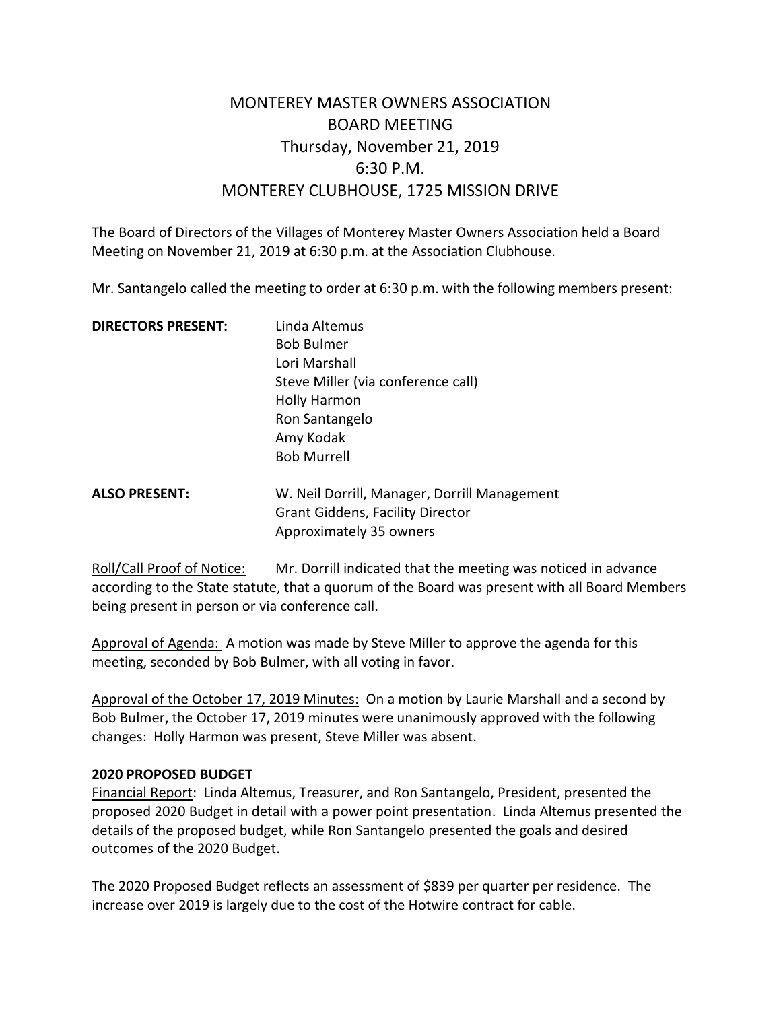# MONTEREY MASTER OWNERS ASSOCIATION BOARD MEETING Thursday, November 21, 2019 6:30 P.M. MONTEREY CLUBHOUSE, 1725 MISSION DRIVE

The Board of Directors of the Villages of Monterey Master Owners Association held a Board Meeting on November 21, 2019 at 6:30 p.m. at the Association Clubhouse.

Mr. Santangelo called the meeting to order at 6:30 p.m. with the following members present:

| <b>DIRECTORS PRESENT:</b> | Linda Altemus                                |
|---------------------------|----------------------------------------------|
|                           | <b>Bob Bulmer</b>                            |
|                           | Lori Marshall                                |
|                           | Steve Miller (via conference call)           |
|                           | <b>Holly Harmon</b>                          |
|                           | Ron Santangelo                               |
|                           | Amy Kodak                                    |
|                           | <b>Bob Murrell</b>                           |
| <b>ALSO PRESENT:</b>      | W. Neil Dorrill, Manager, Dorrill Management |
|                           | <b>Grant Giddens, Facility Director</b>      |

Roll/Call Proof of Notice: Mr. Dorrill indicated that the meeting was noticed in advance according to the State statute, that a quorum of the Board was present with all Board Members being present in person or via conference call.

Approval of Agenda: A motion was made by Steve Miller to approve the agenda for this meeting, seconded by Bob Bulmer, with all voting in favor.

Approximately 35 owners

Approval of the October 17, 2019 Minutes: On a motion by Laurie Marshall and a second by Bob Bulmer, the October 17, 2019 minutes were unanimously approved with the following changes: Holly Harmon was present, Steve Miller was absent.

#### **2020 PROPOSED BUDGET**

Financial Report: Linda Altemus, Treasurer, and Ron Santangelo, President, presented the proposed 2020 Budget in detail with a power point presentation. Linda Altemus presented the details of the proposed budget, while Ron Santangelo presented the goals and desired outcomes of the 2020 Budget.

The 2020 Proposed Budget reflects an assessment of \$839 per quarter per residence. The increase over 2019 is largely due to the cost of the Hotwire contract for cable.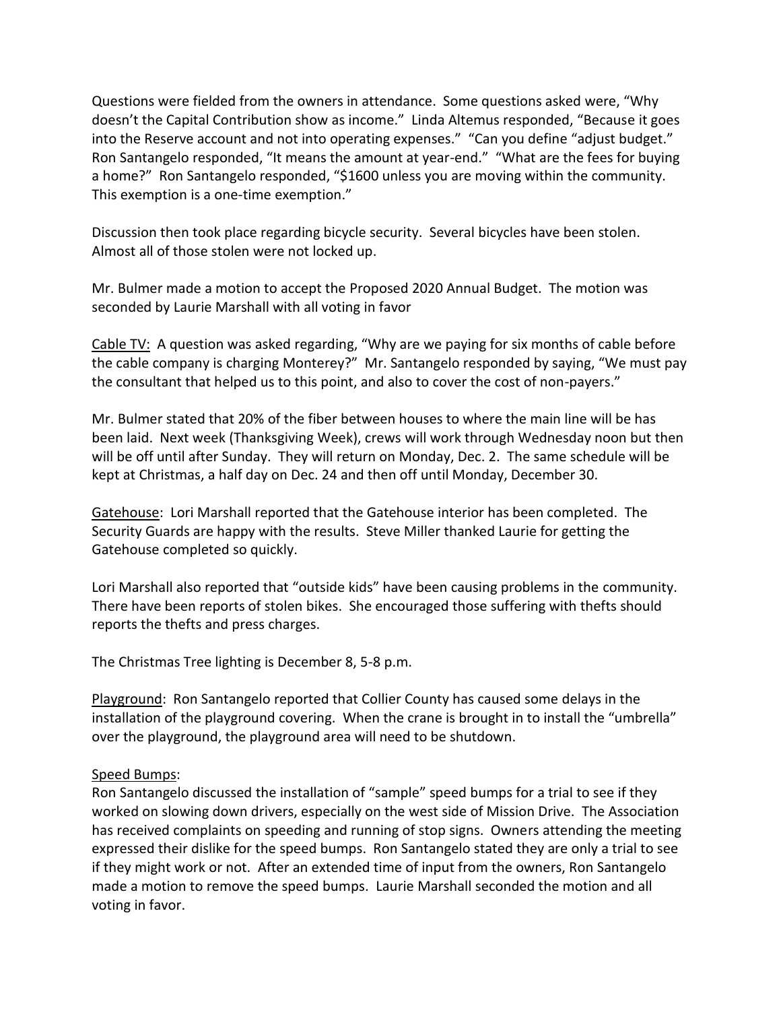Questions were fielded from the owners in attendance. Some questions asked were, "Why doesn't the Capital Contribution show as income." Linda Altemus responded, "Because it goes into the Reserve account and not into operating expenses." "Can you define "adjust budget." Ron Santangelo responded, "It means the amount at year-end." "What are the fees for buying a home?" Ron Santangelo responded, "\$1600 unless you are moving within the community. This exemption is a one-time exemption."

Discussion then took place regarding bicycle security. Several bicycles have been stolen. Almost all of those stolen were not locked up.

Mr. Bulmer made a motion to accept the Proposed 2020 Annual Budget. The motion was seconded by Laurie Marshall with all voting in favor

Cable TV: A question was asked regarding, "Why are we paying for six months of cable before the cable company is charging Monterey?" Mr. Santangelo responded by saying, "We must pay the consultant that helped us to this point, and also to cover the cost of non-payers."

Mr. Bulmer stated that 20% of the fiber between houses to where the main line will be has been laid. Next week (Thanksgiving Week), crews will work through Wednesday noon but then will be off until after Sunday. They will return on Monday, Dec. 2. The same schedule will be kept at Christmas, a half day on Dec. 24 and then off until Monday, December 30.

Gatehouse: Lori Marshall reported that the Gatehouse interior has been completed. The Security Guards are happy with the results. Steve Miller thanked Laurie for getting the Gatehouse completed so quickly.

Lori Marshall also reported that "outside kids" have been causing problems in the community. There have been reports of stolen bikes. She encouraged those suffering with thefts should reports the thefts and press charges.

The Christmas Tree lighting is December 8, 5-8 p.m.

Playground: Ron Santangelo reported that Collier County has caused some delays in the installation of the playground covering. When the crane is brought in to install the "umbrella" over the playground, the playground area will need to be shutdown.

# Speed Bumps:

Ron Santangelo discussed the installation of "sample" speed bumps for a trial to see if they worked on slowing down drivers, especially on the west side of Mission Drive. The Association has received complaints on speeding and running of stop signs. Owners attending the meeting expressed their dislike for the speed bumps. Ron Santangelo stated they are only a trial to see if they might work or not. After an extended time of input from the owners, Ron Santangelo made a motion to remove the speed bumps. Laurie Marshall seconded the motion and all voting in favor.